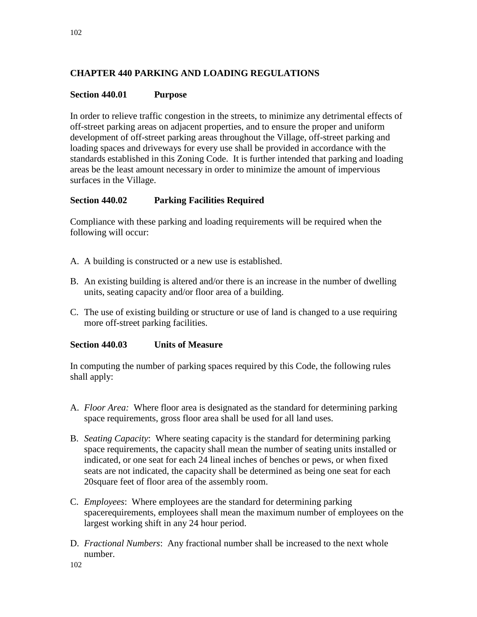# **CHAPTER 440 PARKING AND LOADING REGULATIONS**

#### **Section 440.01 Purpose**

In order to relieve traffic congestion in the streets, to minimize any detrimental effects of off-street parking areas on adjacent properties, and to ensure the proper and uniform development of off-street parking areas throughout the Village, off-street parking and loading spaces and driveways for every use shall be provided in accordance with the standards established in this Zoning Code. It is further intended that parking and loading areas be the least amount necessary in order to minimize the amount of impervious surfaces in the Village.

### **Section 440.02 Parking Facilities Required**

Compliance with these parking and loading requirements will be required when the following will occur:

- A. A building is constructed or a new use is established.
- B. An existing building is altered and/or there is an increase in the number of dwelling units, seating capacity and/or floor area of a building.
- C. The use of existing building or structure or use of land is changed to a use requiring more off-street parking facilities.

#### **Section 440.03 Units of Measure**

In computing the number of parking spaces required by this Code, the following rules shall apply:

- A. *Floor Area:* Where floor area is designated as the standard for determining parking space requirements, gross floor area shall be used for all land uses.
- B. *Seating Capacity*: Where seating capacity is the standard for determining parking space requirements, the capacity shall mean the number of seating units installed or indicated, or one seat for each 24 lineal inches of benches or pews, or when fixed seats are not indicated, the capacity shall be determined as being one seat for each 20square feet of floor area of the assembly room.
- C. *Employees*: Where employees are the standard for determining parking spacerequirements, employees shall mean the maximum number of employees on the largest working shift in any 24 hour period.
- D. *Fractional Numbers*: Any fractional number shall be increased to the next whole number.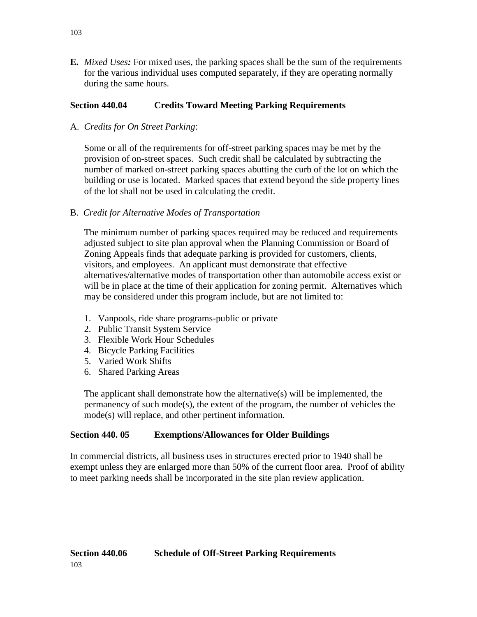**E.** *Mixed Uses:* For mixed uses, the parking spaces shall be the sum of the requirements for the various individual uses computed separately, if they are operating normally during the same hours.

# **Section 440.04 Credits Toward Meeting Parking Requirements**

A. *Credits for On Street Parking*:

Some or all of the requirements for off-street parking spaces may be met by the provision of on-street spaces. Such credit shall be calculated by subtracting the number of marked on-street parking spaces abutting the curb of the lot on which the building or use is located. Marked spaces that extend beyond the side property lines of the lot shall not be used in calculating the credit.

# B. *Credit for Alternative Modes of Transportation*

The minimum number of parking spaces required may be reduced and requirements adjusted subject to site plan approval when the Planning Commission or Board of Zoning Appeals finds that adequate parking is provided for customers, clients, visitors, and employees. An applicant must demonstrate that effective alternatives/alternative modes of transportation other than automobile access exist or will be in place at the time of their application for zoning permit. Alternatives which may be considered under this program include, but are not limited to:

- 1. Vanpools, ride share programs-public or private
- 2. Public Transit System Service
- 3. Flexible Work Hour Schedules
- 4. Bicycle Parking Facilities
- 5. Varied Work Shifts
- 6. Shared Parking Areas

The applicant shall demonstrate how the alternative(s) will be implemented, the permanency of such mode(s), the extent of the program, the number of vehicles the mode(s) will replace, and other pertinent information.

# **Section 440. 05 Exemptions/Allowances for Older Buildings**

In commercial districts, all business uses in structures erected prior to 1940 shall be exempt unless they are enlarged more than 50% of the current floor area. Proof of ability to meet parking needs shall be incorporated in the site plan review application.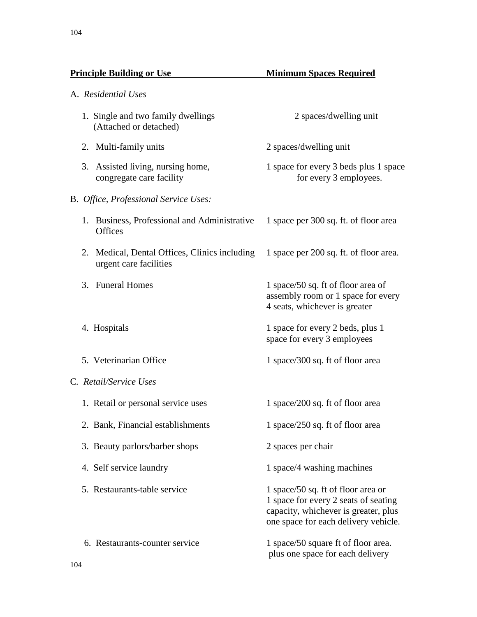A. *Residential Uses*

# **Principle Building or Use 1998 Minimum Spaces Required**

|    | 1. Single and two family dwellings<br>(Attached or detached)         | 2 spaces/dwelling unit                                                                                                                                     |
|----|----------------------------------------------------------------------|------------------------------------------------------------------------------------------------------------------------------------------------------------|
|    | 2. Multi-family units                                                | 2 spaces/dwelling unit                                                                                                                                     |
|    | 3. Assisted living, nursing home,<br>congregate care facility        | 1 space for every 3 beds plus 1 space<br>for every 3 employees.                                                                                            |
|    | B. Office, Professional Service Uses:                                |                                                                                                                                                            |
|    | 1. Business, Professional and Administrative<br><b>Offices</b>       | 1 space per 300 sq. ft. of floor area                                                                                                                      |
| 2. | Medical, Dental Offices, Clinics including<br>urgent care facilities | 1 space per 200 sq. ft. of floor area.                                                                                                                     |
|    | 3. Funeral Homes                                                     | 1 space/50 sq. ft of floor area of<br>assembly room or 1 space for every<br>4 seats, whichever is greater                                                  |
|    | 4. Hospitals                                                         | 1 space for every 2 beds, plus 1<br>space for every 3 employees                                                                                            |
|    | 5. Veterinarian Office                                               | 1 space/300 sq. ft of floor area                                                                                                                           |
|    | C. Retail/Service Uses                                               |                                                                                                                                                            |
|    | 1. Retail or personal service uses                                   | 1 space/200 sq. ft of floor area                                                                                                                           |
|    | 2. Bank, Financial establishments                                    | 1 space/250 sq. ft of floor area                                                                                                                           |
|    | 3. Beauty parlors/barber shops                                       | 2 spaces per chair                                                                                                                                         |
|    | 4. Self service laundry                                              | 1 space/4 washing machines                                                                                                                                 |
|    | 5. Restaurants-table service                                         | 1 space/50 sq. ft of floor area or<br>1 space for every 2 seats of seating<br>capacity, whichever is greater, plus<br>one space for each delivery vehicle. |
|    | 6. Restaurants-counter service                                       | 1 space/50 square ft of floor area.<br>plus one space for each delivery                                                                                    |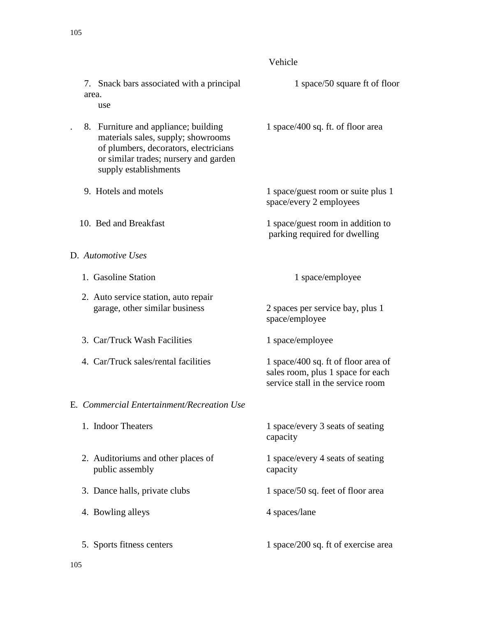# Vehicle

| 7. Snack bars associated with a principal<br>area.<br>use                                                                                                                             | 1 space/50 square ft of floor                                                                                 |
|---------------------------------------------------------------------------------------------------------------------------------------------------------------------------------------|---------------------------------------------------------------------------------------------------------------|
| 8. Furniture and appliance; building<br>materials sales, supply; showrooms<br>of plumbers, decorators, electricians<br>or similar trades; nursery and garden<br>supply establishments | 1 space/400 sq. ft. of floor area                                                                             |
| 9. Hotels and motels                                                                                                                                                                  | 1 space/guest room or suite plus 1<br>space/every 2 employees                                                 |
| 10. Bed and Breakfast                                                                                                                                                                 | 1 space/guest room in addition to<br>parking required for dwelling                                            |
| D. Automotive Uses                                                                                                                                                                    |                                                                                                               |
| 1. Gasoline Station                                                                                                                                                                   | 1 space/employee                                                                                              |
| 2. Auto service station, auto repair<br>garage, other similar business                                                                                                                | 2 spaces per service bay, plus 1<br>space/employee                                                            |
| 3. Car/Truck Wash Facilities                                                                                                                                                          | 1 space/employee                                                                                              |
| 4. Car/Truck sales/rental facilities                                                                                                                                                  | 1 space/400 sq. ft of floor area of<br>sales room, plus 1 space for each<br>service stall in the service room |
| E. Commercial Entertainment/Recreation Use                                                                                                                                            |                                                                                                               |
| 1. Indoor Theaters                                                                                                                                                                    | 1 space/every 3 seats of seating<br>capacity                                                                  |
| 2. Auditoriums and other places of<br>public assembly                                                                                                                                 | 1 space/every 4 seats of seating<br>capacity                                                                  |
| 3. Dance halls, private clubs                                                                                                                                                         | 1 space/50 sq. feet of floor area                                                                             |
| 4. Bowling alleys                                                                                                                                                                     | 4 spaces/lane                                                                                                 |
| 5. Sports fitness centers                                                                                                                                                             | 1 space/200 sq. ft of exercise area                                                                           |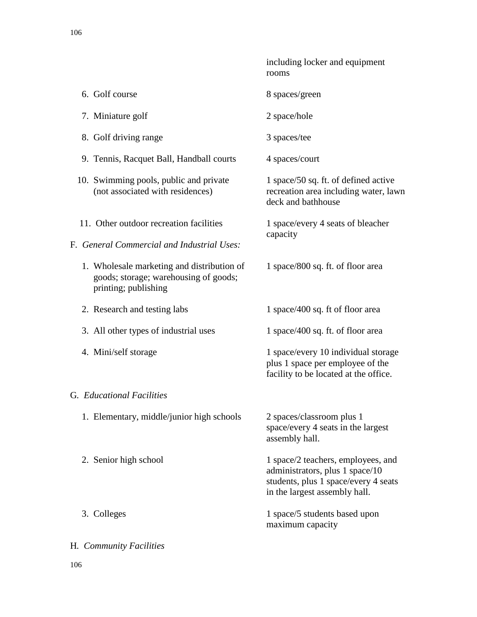|                                                                                                             | including locker and equipment<br>rooms                                                                                                        |
|-------------------------------------------------------------------------------------------------------------|------------------------------------------------------------------------------------------------------------------------------------------------|
| 6. Golf course                                                                                              | 8 spaces/green                                                                                                                                 |
| 7. Miniature golf                                                                                           | 2 space/hole                                                                                                                                   |
| 8. Golf driving range                                                                                       | 3 spaces/tee                                                                                                                                   |
| 9. Tennis, Racquet Ball, Handball courts                                                                    | 4 spaces/court                                                                                                                                 |
| 10. Swimming pools, public and private<br>(not associated with residences)                                  | 1 space/50 sq. ft. of defined active<br>recreation area including water, lawn<br>deck and bathhouse                                            |
| 11. Other outdoor recreation facilities<br>F. General Commercial and Industrial Uses:                       | 1 space/every 4 seats of bleacher<br>capacity                                                                                                  |
| 1. Wholesale marketing and distribution of<br>goods; storage; warehousing of goods;<br>printing; publishing | 1 space/800 sq. ft. of floor area                                                                                                              |
| 2. Research and testing labs                                                                                | 1 space/400 sq. ft of floor area                                                                                                               |
| 3. All other types of industrial uses                                                                       | 1 space/400 sq. ft. of floor area                                                                                                              |
| 4. Mini/self storage                                                                                        | 1 space/every 10 individual storage<br>plus 1 space per employee of the<br>facility to be located at the office.                               |
| G. Educational Facilities                                                                                   |                                                                                                                                                |
| 1. Elementary, middle/junior high schools                                                                   | 2 spaces/classroom plus 1<br>space/every 4 seats in the largest<br>assembly hall.                                                              |
| 2. Senior high school                                                                                       | 1 space/2 teachers, employees, and<br>administrators, plus 1 space/10<br>students, plus 1 space/every 4 seats<br>in the largest assembly hall. |
| 3. Colleges                                                                                                 | 1 space/5 students based upon<br>maximum capacity                                                                                              |
| H. Community Facilities                                                                                     |                                                                                                                                                |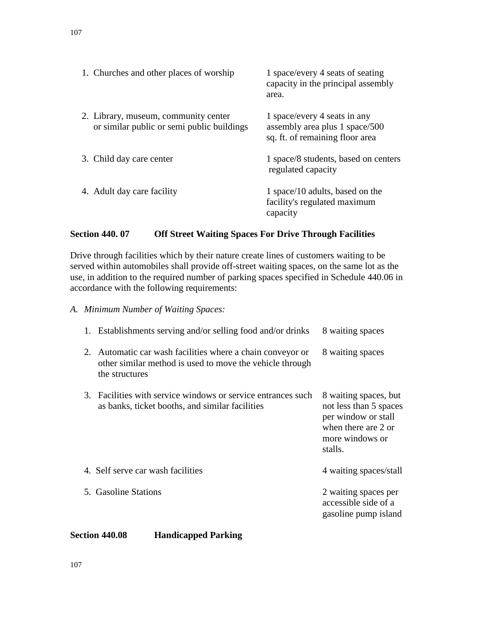| 1. Churches and other places of worship                                            | 1 space/every 4 seats of seating<br>capacity in the principal assembly<br>area.                   |
|------------------------------------------------------------------------------------|---------------------------------------------------------------------------------------------------|
| 2. Library, museum, community center<br>or similar public or semi public buildings | 1 space/every 4 seats in any<br>assembly area plus 1 space/500<br>sq. ft. of remaining floor area |
| 3. Child day care center                                                           | 1 space/8 students, based on centers<br>regulated capacity                                        |
| 4. Adult day care facility                                                         | 1 space/10 adults, based on the<br>facility's regulated maximum<br>capacity                       |

# **Section 440. 07 Off Street Waiting Spaces For Drive Through Facilities**

Drive through facilities which by their nature create lines of customers waiting to be served within automobiles shall provide off-street waiting spaces, on the same lot as the use, in addition to the required number of parking spaces specified in Schedule 440.06 in accordance with the following requirements:

# *A. Minimum Number of Waiting Spaces:*

|    | 1. Establishments serving and/or selling food and/or drinks                                                                           | 8 waiting spaces                                                                                                            |
|----|---------------------------------------------------------------------------------------------------------------------------------------|-----------------------------------------------------------------------------------------------------------------------------|
| 2. | Automatic car wash facilities where a chain conveyor or<br>other similar method is used to move the vehicle through<br>the structures | 8 waiting spaces                                                                                                            |
|    | 3. Facilities with service windows or service entrances such<br>as banks, ticket booths, and similar facilities                       | 8 waiting spaces, but<br>not less than 5 spaces<br>per window or stall<br>when there are 2 or<br>more windows or<br>stalls. |
|    | 4. Self serve car wash facilities                                                                                                     | 4 waiting spaces/stall                                                                                                      |
|    | 5. Gasoline Stations                                                                                                                  | 2 waiting spaces per<br>accessible side of a<br>gasoline pump island                                                        |

#### **Section 440.08 Handicapped Parking**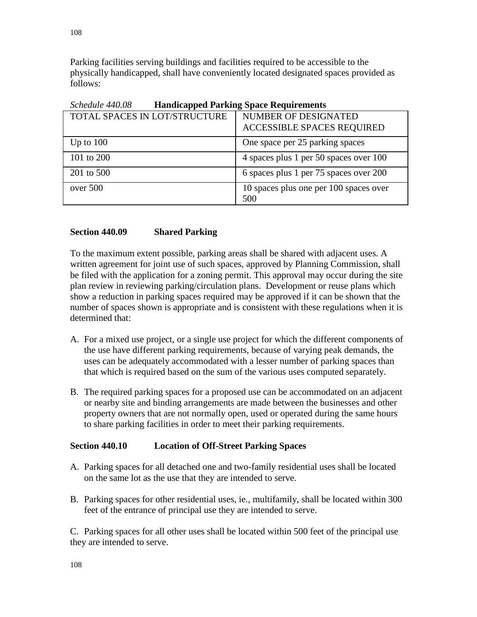Parking facilities serving buildings and facilities required to be accessible to the physically handicapped, shall have conveniently located designated spaces provided as follows:

| Schedule 440.00<br><b>Handicapped Farking Space Requirements</b> |                                                           |  |
|------------------------------------------------------------------|-----------------------------------------------------------|--|
| TOTAL SPACES IN LOT/STRUCTURE                                    | NUMBER OF DESIGNATED<br><b>ACCESSIBLE SPACES REQUIRED</b> |  |
| Up to $100$                                                      | One space per 25 parking spaces                           |  |
| 101 to 200                                                       | 4 spaces plus 1 per 50 spaces over 100                    |  |
| 201 to 500                                                       | 6 spaces plus 1 per 75 spaces over 200                    |  |
| over 500                                                         | 10 spaces plus one per 100 spaces over<br>500             |  |

*Schedule 440.08* **Handicapped Parking Space Requirements**

#### **Section 440.09 Shared Parking**

To the maximum extent possible, parking areas shall be shared with adjacent uses. A written agreement for joint use of such spaces, approved by Planning Commission, shall be filed with the application for a zoning permit. This approval may occur during the site plan review in reviewing parking/circulation plans. Development or reuse plans which show a reduction in parking spaces required may be approved if it can be shown that the number of spaces shown is appropriate and is consistent with these regulations when it is determined that:

- A. For a mixed use project, or a single use project for which the different components of the use have different parking requirements, because of varying peak demands, the uses can be adequately accommodated with a lesser number of parking spaces than that which is required based on the sum of the various uses computed separately.
- B. The required parking spaces for a proposed use can be accommodated on an adjacent or nearby site and binding arrangements are made between the businesses and other property owners that are not normally open, used or operated during the same hours to share parking facilities in order to meet their parking requirements.

#### **Section 440.10 Location of Off-Street Parking Spaces**

- A. Parking spaces for all detached one and two-family residential uses shall be located on the same lot as the use that they are intended to serve.
- B. Parking spaces for other residential uses, ie., multifamily, shall be located within 300 feet of the entrance of principal use they are intended to serve.

C. Parking spaces for all other uses shall be located within 500 feet of the principal use they are intended to serve.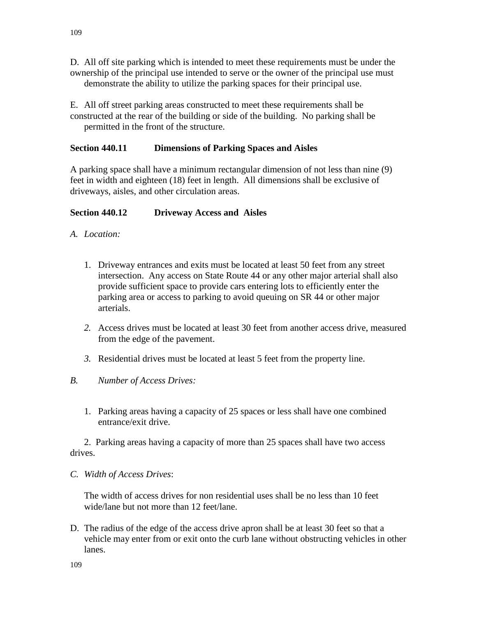E. All off street parking areas constructed to meet these requirements shall be constructed at the rear of the building or side of the building. No parking shall be permitted in the front of the structure.

# **Section 440.11 Dimensions of Parking Spaces and Aisles**

A parking space shall have a minimum rectangular dimension of not less than nine (9) feet in width and eighteen (18) feet in length. All dimensions shall be exclusive of driveways, aisles, and other circulation areas.

# **Section 440.12 Driveway Access and Aisles**

- *A. Location:* 
	- 1. Driveway entrances and exits must be located at least 50 feet from any street intersection. Any access on State Route 44 or any other major arterial shall also provide sufficient space to provide cars entering lots to efficiently enter the parking area or access to parking to avoid queuing on SR 44 or other major arterials.
	- *2.* Access drives must be located at least 30 feet from another access drive, measured from the edge of the pavement.
	- *3.* Residential drives must be located at least 5 feet from the property line.

# *B. Number of Access Drives:*

1. Parking areas having a capacity of 25 spaces or less shall have one combined entrance/exit drive.

2. Parking areas having a capacity of more than 25 spaces shall have two access drives.

*C. Width of Access Drives*:

The width of access drives for non residential uses shall be no less than 10 feet wide/lane but not more than 12 feet/lane.

D. The radius of the edge of the access drive apron shall be at least 30 feet so that a vehicle may enter from or exit onto the curb lane without obstructing vehicles in other lanes.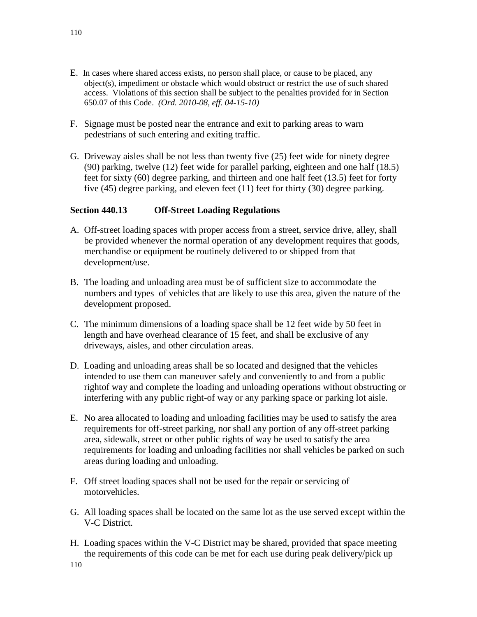- E. In cases where shared access exists, no person shall place, or cause to be placed, any object(s), impediment or obstacle which would obstruct or restrict the use of such shared access. Violations of this section shall be subject to the penalties provided for in Section 650.07 of this Code. *(Ord. 2010-08, eff. 04-15-10)*
- F. Signage must be posted near the entrance and exit to parking areas to warn pedestrians of such entering and exiting traffic.
- G. Driveway aisles shall be not less than twenty five (25) feet wide for ninety degree (90) parking, twelve (12) feet wide for parallel parking, eighteen and one half (18.5) feet for sixty (60) degree parking, and thirteen and one half feet (13.5) feet for forty five (45) degree parking, and eleven feet (11) feet for thirty (30) degree parking.

### **Section 440.13 Off-Street Loading Regulations**

- A. Off-street loading spaces with proper access from a street, service drive, alley, shall be provided whenever the normal operation of any development requires that goods, merchandise or equipment be routinely delivered to or shipped from that development/use.
- B. The loading and unloading area must be of sufficient size to accommodate the numbers and types of vehicles that are likely to use this area, given the nature of the development proposed.
- C. The minimum dimensions of a loading space shall be 12 feet wide by 50 feet in length and have overhead clearance of 15 feet, and shall be exclusive of any driveways, aisles, and other circulation areas.
- D. Loading and unloading areas shall be so located and designed that the vehicles intended to use them can maneuver safely and conveniently to and from a public rightof way and complete the loading and unloading operations without obstructing or interfering with any public right-of way or any parking space or parking lot aisle.
- E. No area allocated to loading and unloading facilities may be used to satisfy the area requirements for off-street parking, nor shall any portion of any off-street parking area, sidewalk, street or other public rights of way be used to satisfy the area requirements for loading and unloading facilities nor shall vehicles be parked on such areas during loading and unloading.
- F. Off street loading spaces shall not be used for the repair or servicing of motorvehicles.
- G. All loading spaces shall be located on the same lot as the use served except within the V-C District.
- H. Loading spaces within the V-C District may be shared, provided that space meeting the requirements of this code can be met for each use during peak delivery/pick up

110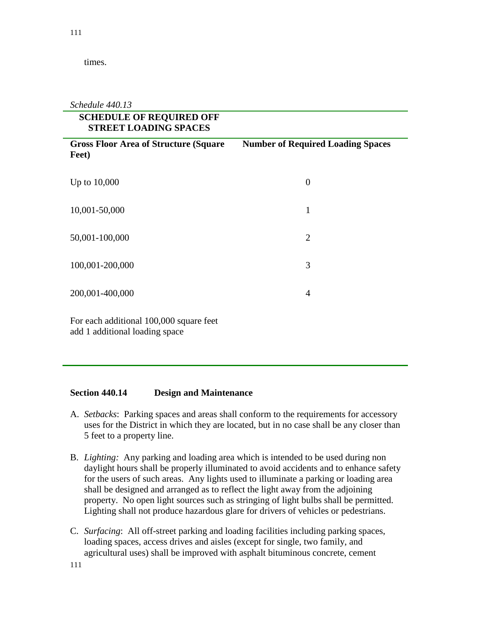times.

*Schedule 440.13*

| <b>SCHEDULE OF REQUIRED OFF</b><br><b>STREET LOADING SPACES</b> |                                          |  |  |
|-----------------------------------------------------------------|------------------------------------------|--|--|
| <b>Gross Floor Area of Structure (Square</b><br>Feet)           | <b>Number of Required Loading Spaces</b> |  |  |
| Up to 10,000                                                    | $\overline{0}$                           |  |  |
| 10,001-50,000                                                   | $\mathbf{1}$                             |  |  |
| 50,001-100,000                                                  | $\overline{2}$                           |  |  |
| 100,001-200,000                                                 | 3                                        |  |  |
| 200,001-400,000                                                 | 4                                        |  |  |
| For each additional 100,000 square feet                         |                                          |  |  |

add 1 additional loading space

#### **Section 440.14 Design and Maintenance**

- A. *Setbacks*: Parking spaces and areas shall conform to the requirements for accessory uses for the District in which they are located, but in no case shall be any closer than 5 feet to a property line.
- B. *Lighting:* Any parking and loading area which is intended to be used during non daylight hours shall be properly illuminated to avoid accidents and to enhance safety for the users of such areas. Any lights used to illuminate a parking or loading area shall be designed and arranged as to reflect the light away from the adjoining property. No open light sources such as stringing of light bulbs shall be permitted. Lighting shall not produce hazardous glare for drivers of vehicles or pedestrians.
- C. *Surfacing*: All off-street parking and loading facilities including parking spaces, loading spaces, access drives and aisles (except for single, two family, and agricultural uses) shall be improved with asphalt bituminous concrete, cement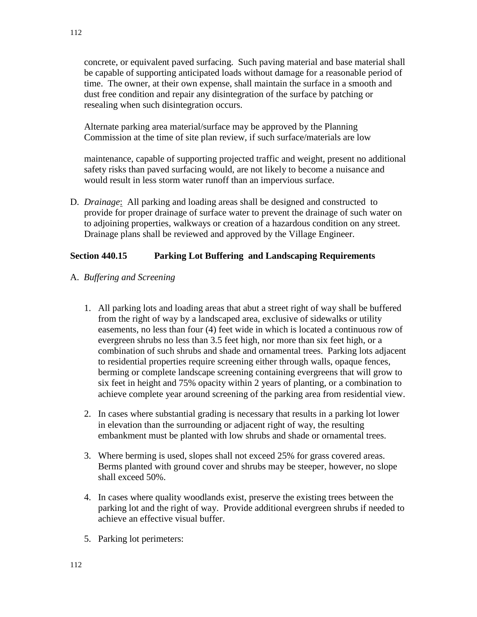concrete, or equivalent paved surfacing. Such paving material and base material shall be capable of supporting anticipated loads without damage for a reasonable period of time. The owner, at their own expense, shall maintain the surface in a smooth and dust free condition and repair any disintegration of the surface by patching or resealing when such disintegration occurs.

Alternate parking area material/surface may be approved by the Planning Commission at the time of site plan review, if such surface/materials are low

maintenance, capable of supporting projected traffic and weight, present no additional safety risks than paved surfacing would, are not likely to become a nuisance and would result in less storm water runoff than an impervious surface.

D. *Drainage*: All parking and loading areas shall be designed and constructed to provide for proper drainage of surface water to prevent the drainage of such water on to adjoining properties, walkways or creation of a hazardous condition on any street. Drainage plans shall be reviewed and approved by the Village Engineer.

#### **Section 440.15 Parking Lot Buffering and Landscaping Requirements**

- A. *Buffering and Screening*
	- 1. All parking lots and loading areas that abut a street right of way shall be buffered from the right of way by a landscaped area, exclusive of sidewalks or utility easements, no less than four (4) feet wide in which is located a continuous row of evergreen shrubs no less than 3.5 feet high, nor more than six feet high, or a combination of such shrubs and shade and ornamental trees. Parking lots adjacent to residential properties require screening either through walls, opaque fences, berming or complete landscape screening containing evergreens that will grow to six feet in height and 75% opacity within 2 years of planting, or a combination to achieve complete year around screening of the parking area from residential view.
	- 2. In cases where substantial grading is necessary that results in a parking lot lower in elevation than the surrounding or adjacent right of way, the resulting embankment must be planted with low shrubs and shade or ornamental trees.
	- 3. Where berming is used, slopes shall not exceed 25% for grass covered areas. Berms planted with ground cover and shrubs may be steeper, however, no slope shall exceed 50%.
	- 4. In cases where quality woodlands exist, preserve the existing trees between the parking lot and the right of way. Provide additional evergreen shrubs if needed to achieve an effective visual buffer.
	- 5. Parking lot perimeters: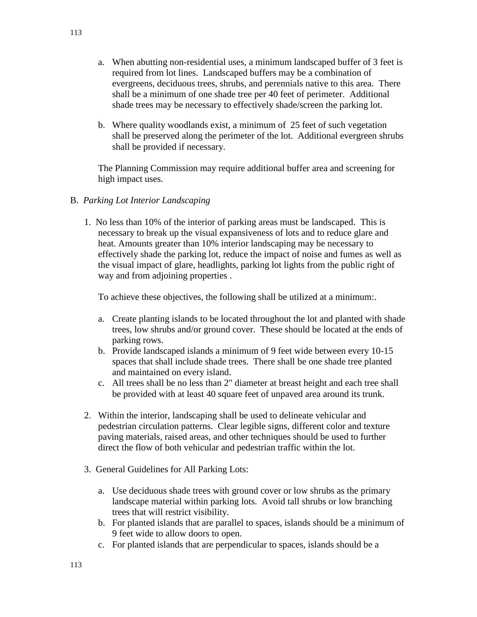- a. When abutting non-residential uses, a minimum landscaped buffer of 3 feet is required from lot lines. Landscaped buffers may be a combination of evergreens, deciduous trees, shrubs, and perennials native to this area. There shall be a minimum of one shade tree per 40 feet of perimeter. Additional shade trees may be necessary to effectively shade/screen the parking lot.
- b. Where quality woodlands exist, a minimum of 25 feet of such vegetation shall be preserved along the perimeter of the lot. Additional evergreen shrubs shall be provided if necessary.

The Planning Commission may require additional buffer area and screening for high impact uses.

### B. *Parking Lot Interior Landscaping*

 1. No less than 10% of the interior of parking areas must be landscaped. This is necessary to break up the visual expansiveness of lots and to reduce glare and heat. Amounts greater than 10% interior landscaping may be necessary to effectively shade the parking lot, reduce the impact of noise and fumes as well as the visual impact of glare, headlights, parking lot lights from the public right of way and from adjoining properties .

To achieve these objectives, the following shall be utilized at a minimum:.

- a. Create planting islands to be located throughout the lot and planted with shade trees, low shrubs and/or ground cover. These should be located at the ends of parking rows.
- b. Provide landscaped islands a minimum of 9 feet wide between every 10-15 spaces that shall include shade trees. There shall be one shade tree planted and maintained on every island.
- c. All trees shall be no less than 2" diameter at breast height and each tree shall be provided with at least 40 square feet of unpaved area around its trunk.
- 2. Within the interior, landscaping shall be used to delineate vehicular and pedestrian circulation patterns. Clear legible signs, different color and texture paving materials, raised areas, and other techniques should be used to further direct the flow of both vehicular and pedestrian traffic within the lot.
- 3. General Guidelines for All Parking Lots:
	- a. Use deciduous shade trees with ground cover or low shrubs as the primary landscape material within parking lots. Avoid tall shrubs or low branching trees that will restrict visibility.
	- b. For planted islands that are parallel to spaces, islands should be a minimum of 9 feet wide to allow doors to open.
	- c. For planted islands that are perpendicular to spaces, islands should be a